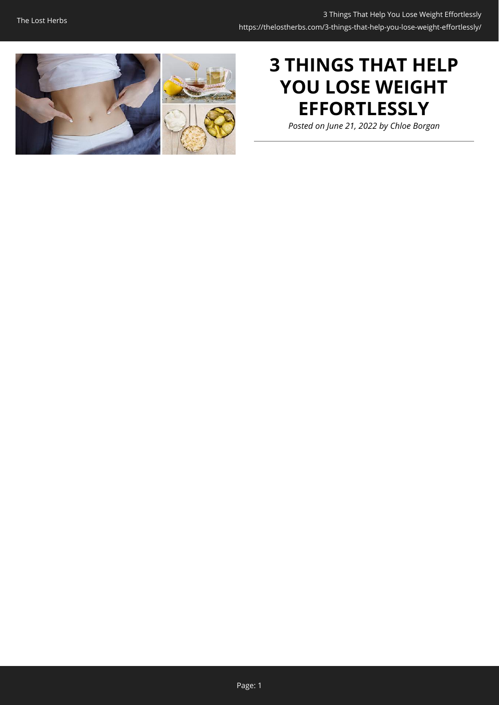

# **3 THINGS THAT HELP YOU LOSE WEIGHT EFFORTLESSLY**

*Posted on June 21, 2022 by Chloe Borgan*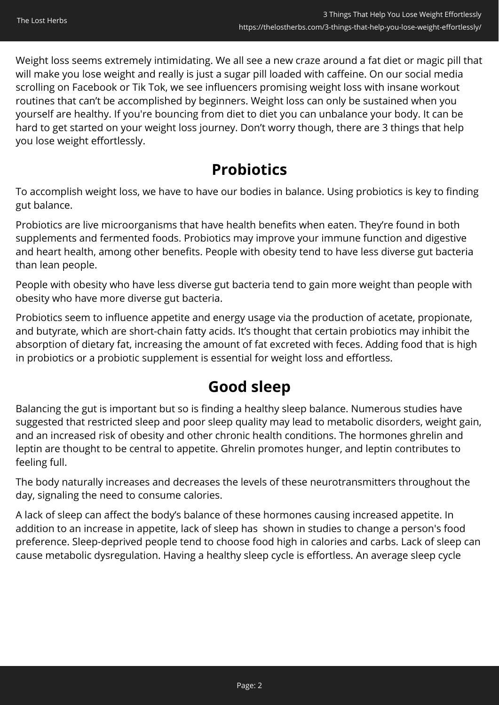Weight loss seems extremely intimidating. We all see a new craze around a fat diet or magic pill that will make you lose weight and really is just a sugar pill loaded with caffeine. On our social media scrolling on Facebook or Tik Tok, we see influencers promising weight loss with insane workout routines that can't be accomplished by beginners. Weight loss can only be sustained when you yourself are healthy. If you're bouncing from diet to diet you can unbalance your body. It can be hard to get started on your weight loss journey. Don't worry though, there are 3 things that help you lose weight effortlessly.

# **Probiotics**

To accomplish weight loss, we have to have our bodies in balance. Using probiotics is key to finding gut balance.

Probiotics are live microorganisms that have health benefits when eaten. They're found in both supplements and fermented foods. Probiotics may improve your immune function and digestive and heart health, among other benefits. People with obesity tend to have less diverse gut bacteria than lean people.

People with obesity who have less diverse gut bacteria tend to gain more weight than people with obesity who have more diverse gut bacteria.

Probiotics seem to influence appetite and energy usage via the production of acetate, propionate, and butyrate, which are short-chain fatty acids. It's thought that certain probiotics may inhibit the absorption of dietary fat, increasing the amount of fat excreted with feces. Adding food that is high in probiotics or a probiotic supplement is essential for weight loss and effortless.

# **Good sleep**

Balancing the gut is important but so is finding a healthy sleep balance. Numerous studies have suggested that restricted sleep and poor sleep quality may lead to metabolic disorders, weight gain, and an increased risk of obesity and other chronic health conditions. The hormones ghrelin and leptin are thought to be central to appetite. Ghrelin promotes hunger, and leptin contributes to feeling full.

The body naturally increases and decreases the levels of these neurotransmitters throughout the day, signaling the need to consume calories.

A lack of sleep can affect the body's balance of these hormones causing increased appetite. In addition to an increase in appetite, lack of sleep has shown in studies to change a person's food preference. Sleep-deprived people tend to choose food high in calories and carbs. Lack of sleep can cause metabolic dysregulation. Having a healthy sleep cycle is effortless. An average sleep cycle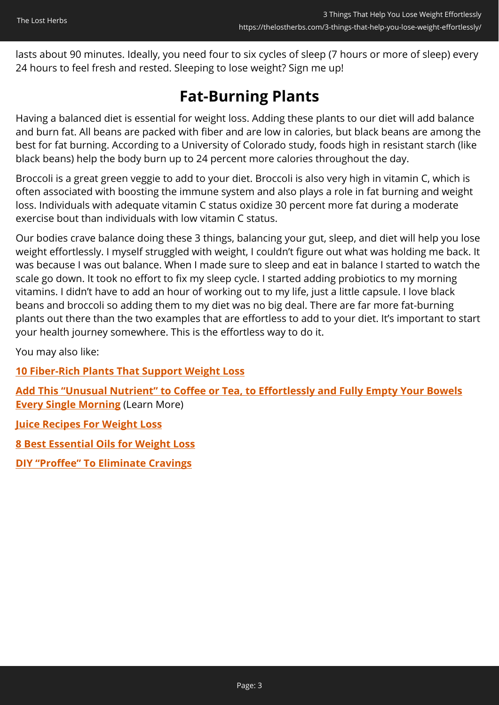lasts about 90 minutes. Ideally, you need four to six cycles of sleep (7 hours or more of sleep) every 24 hours to feel fresh and rested. Sleeping to lose weight? Sign me up!

# **Fat-Burning Plants**

Having a balanced diet is essential for weight loss. Adding these plants to our diet will add balance and burn fat. All beans are packed with fiber and are low in calories, but black beans are among the best for fat burning. According to a University of Colorado study, foods high in resistant starch (like black beans) help the body burn up to 24 percent more calories throughout the day.

Broccoli is a great green veggie to add to your diet. Broccoli is also very high in vitamin C, which is often associated with boosting the immune system and also plays a role in fat burning and weight loss. Individuals with adequate vitamin C status oxidize 30 percent more fat during a moderate exercise bout than individuals with low vitamin C status.

Our bodies crave balance doing these 3 things, balancing your gut, sleep, and diet will help you lose weight effortlessly. I myself struggled with weight, I couldn't figure out what was holding me back. It was because I was out balance. When I made sure to sleep and eat in balance I started to watch the scale go down. It took no effort to fix my sleep cycle. I started adding probiotics to my morning vitamins. I didn't have to add an hour of working out to my life, just a little capsule. I love black beans and broccoli so adding them to my diet was no big deal. There are far more fat-burning plants out there than the two examples that are effortless to add to your diet. It's important to start your health journey somewhere. This is the effortless way to do it.

You may also like:

**[10 Fiber-Rich Plants That Support Weight Loss](https://thelostherbs.com/10-fiber-rich-plants-that-support-weight-loss/)**

**[Add This "Unusual Nutrient" to Coffee or Tea, to Effortlessly and Fully Empty Your Bowels](https://hop.clickbank.net/?affiliate=easycellar&vendor=peakbiome&tid=C02WeightLossHelpFGW) [Every Single Morning](https://hop.clickbank.net/?affiliate=easycellar&vendor=peakbiome&tid=C02WeightLossHelpFGW)** (Learn More)

**[Juice Recipes For Weight Loss](https://thelostherbs.com/juice-recipes-for-weight-loss/)**

**[8 Best Essential Oils for Weight Loss](https://thelostherbs.com/8-best-essential-oils-for-weight-loss/)**

**[DIY "Proffee" To Eliminate Cravings](https://thelostherbs.com/diy-proffee-to-eliminate-cravings/)**